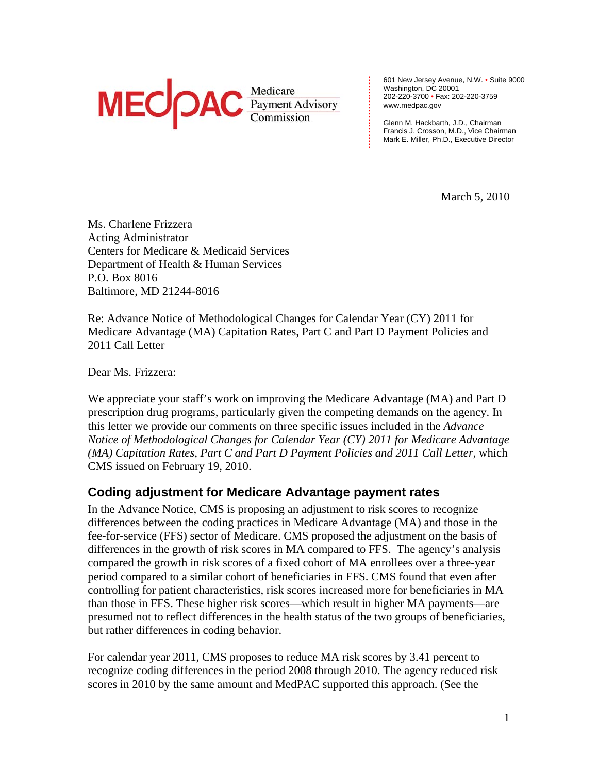## MEC *PAC <u>Payment Advisory</u>*

601 New Jersey Avenue, N.W. • Suite 9000 Washington, DC 20001 202-220-3700 • Fax: 202-220-3759 www.medpac.gov

**. . . . . . . . . . . . . . . . . . . . . . . .**

Glenn M. Hackbarth, J.D., Chairman Francis J. Crosson, M.D., Vice Chairman Mark E. Miller, Ph.D., Executive Director

March 5, 2010

Ms. Charlene Frizzera Acting Administrator Centers for Medicare & Medicaid Services Department of Health & Human Services P.O. Box 8016 Baltimore, MD 21244-8016

Re: Advance Notice of Methodological Changes for Calendar Year (CY) 2011 for Medicare Advantage (MA) Capitation Rates, Part C and Part D Payment Policies and 2011 Call Letter

Dear Ms. Frizzera:

We appreciate your staff's work on improving the Medicare Advantage (MA) and Part D prescription drug programs, particularly given the competing demands on the agency. In this letter we provide our comments on three specific issues included in the *Advance Notice of Methodological Changes for Calendar Year (CY) 2011 for Medicare Advantage (MA) Capitation Rates, Part C and Part D Payment Policies and 2011 Call Letter*, which CMS issued on February 19, 2010.

## **Coding adjustment for Medicare Advantage payment rates**

In the Advance Notice, CMS is proposing an adjustment to risk scores to recognize differences between the coding practices in Medicare Advantage (MA) and those in the fee-for-service (FFS) sector of Medicare. CMS proposed the adjustment on the basis of differences in the growth of risk scores in MA compared to FFS. The agency's analysis compared the growth in risk scores of a fixed cohort of MA enrollees over a three-year period compared to a similar cohort of beneficiaries in FFS. CMS found that even after controlling for patient characteristics, risk scores increased more for beneficiaries in MA than those in FFS. These higher risk scores—which result in higher MA payments—are presumed not to reflect differences in the health status of the two groups of beneficiaries, but rather differences in coding behavior.

For calendar year 2011, CMS proposes to reduce MA risk scores by 3.41 percent to recognize coding differences in the period 2008 through 2010. The agency reduced risk scores in 2010 by the same amount and MedPAC supported this approach. (See the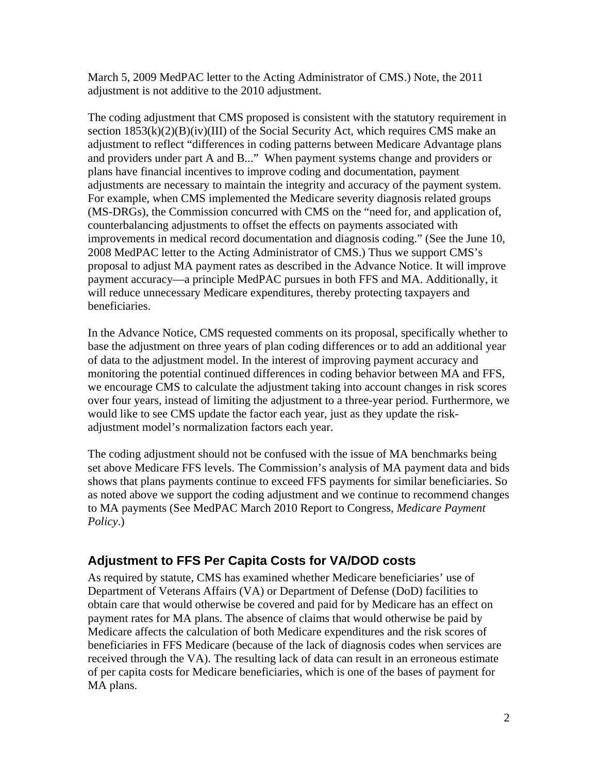March 5, 2009 MedPAC letter to the Acting Administrator of CMS.) Note, the 2011 adjustment is not additive to the 2010 adjustment.

The coding adjustment that CMS proposed is consistent with the statutory requirement in section  $1853(k)(2)(B)(iv)(III)$  of the Social Security Act, which requires CMS make an adjustment to reflect "differences in coding patterns between Medicare Advantage plans and providers under part A and B..." When payment systems change and providers or plans have financial incentives to improve coding and documentation, payment adjustments are necessary to maintain the integrity and accuracy of the payment system. For example, when CMS implemented the Medicare severity diagnosis related groups (MS-DRGs), the Commission concurred with CMS on the "need for, and application of, counterbalancing adjustments to offset the effects on payments associated with improvements in medical record documentation and diagnosis coding." (See the June 10, 2008 MedPAC letter to the Acting Administrator of CMS.) Thus we support CMS's proposal to adjust MA payment rates as described in the Advance Notice. It will improve payment accuracy—a principle MedPAC pursues in both FFS and MA. Additionally, it will reduce unnecessary Medicare expenditures, thereby protecting taxpayers and beneficiaries.

In the Advance Notice, CMS requested comments on its proposal, specifically whether to base the adjustment on three years of plan coding differences or to add an additional year of data to the adjustment model. In the interest of improving payment accuracy and monitoring the potential continued differences in coding behavior between MA and FFS, we encourage CMS to calculate the adjustment taking into account changes in risk scores over four years, instead of limiting the adjustment to a three-year period. Furthermore, we would like to see CMS update the factor each year, just as they update the riskadjustment model's normalization factors each year.

The coding adjustment should not be confused with the issue of MA benchmarks being set above Medicare FFS levels. The Commission's analysis of MA payment data and bids shows that plans payments continue to exceed FFS payments for similar beneficiaries. So as noted above we support the coding adjustment and we continue to recommend changes to MA payments (See MedPAC March 2010 Report to Congress, *Medicare Payment Policy*.)

## **Adjustment to FFS Per Capita Costs for VA/DOD costs**

As required by statute, CMS has examined whether Medicare beneficiaries' use of Department of Veterans Affairs (VA) or Department of Defense (DoD) facilities to obtain care that would otherwise be covered and paid for by Medicare has an effect on payment rates for MA plans. The absence of claims that would otherwise be paid by Medicare affects the calculation of both Medicare expenditures and the risk scores of beneficiaries in FFS Medicare (because of the lack of diagnosis codes when services are received through the VA). The resulting lack of data can result in an erroneous estimate of per capita costs for Medicare beneficiaries, which is one of the bases of payment for MA plans.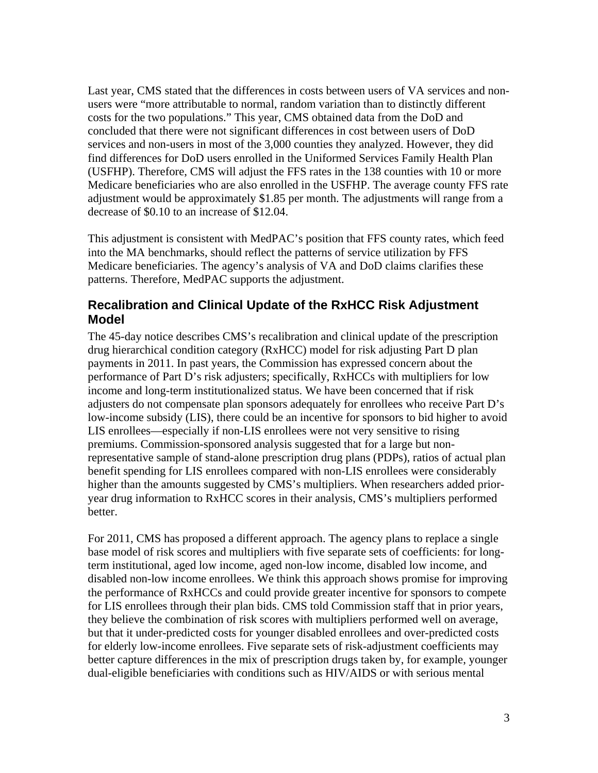Last year, CMS stated that the differences in costs between users of VA services and nonusers were "more attributable to normal, random variation than to distinctly different costs for the two populations." This year, CMS obtained data from the DoD and concluded that there were not significant differences in cost between users of DoD services and non-users in most of the 3,000 counties they analyzed. However, they did find differences for DoD users enrolled in the Uniformed Services Family Health Plan (USFHP). Therefore, CMS will adjust the FFS rates in the 138 counties with 10 or more Medicare beneficiaries who are also enrolled in the USFHP. The average county FFS rate adjustment would be approximately \$1.85 per month. The adjustments will range from a decrease of \$0.10 to an increase of \$12.04.

This adjustment is consistent with MedPAC's position that FFS county rates, which feed into the MA benchmarks, should reflect the patterns of service utilization by FFS Medicare beneficiaries. The agency's analysis of VA and DoD claims clarifies these patterns. Therefore, MedPAC supports the adjustment.

## **Recalibration and Clinical Update of the RxHCC Risk Adjustment Model**

The 45-day notice describes CMS's recalibration and clinical update of the prescription drug hierarchical condition category (RxHCC) model for risk adjusting Part D plan payments in 2011. In past years, the Commission has expressed concern about the performance of Part D's risk adjusters; specifically, RxHCCs with multipliers for low income and long-term institutionalized status. We have been concerned that if risk adjusters do not compensate plan sponsors adequately for enrollees who receive Part D's low-income subsidy (LIS), there could be an incentive for sponsors to bid higher to avoid LIS enrollees—especially if non-LIS enrollees were not very sensitive to rising premiums. Commission-sponsored analysis suggested that for a large but nonrepresentative sample of stand-alone prescription drug plans (PDPs), ratios of actual plan benefit spending for LIS enrollees compared with non-LIS enrollees were considerably higher than the amounts suggested by CMS's multipliers. When researchers added prioryear drug information to RxHCC scores in their analysis, CMS's multipliers performed better.

For 2011, CMS has proposed a different approach. The agency plans to replace a single base model of risk scores and multipliers with five separate sets of coefficients: for longterm institutional, aged low income, aged non-low income, disabled low income, and disabled non-low income enrollees. We think this approach shows promise for improving the performance of RxHCCs and could provide greater incentive for sponsors to compete for LIS enrollees through their plan bids. CMS told Commission staff that in prior years, they believe the combination of risk scores with multipliers performed well on average, but that it under-predicted costs for younger disabled enrollees and over-predicted costs for elderly low-income enrollees. Five separate sets of risk-adjustment coefficients may better capture differences in the mix of prescription drugs taken by, for example, younger dual-eligible beneficiaries with conditions such as HIV/AIDS or with serious mental